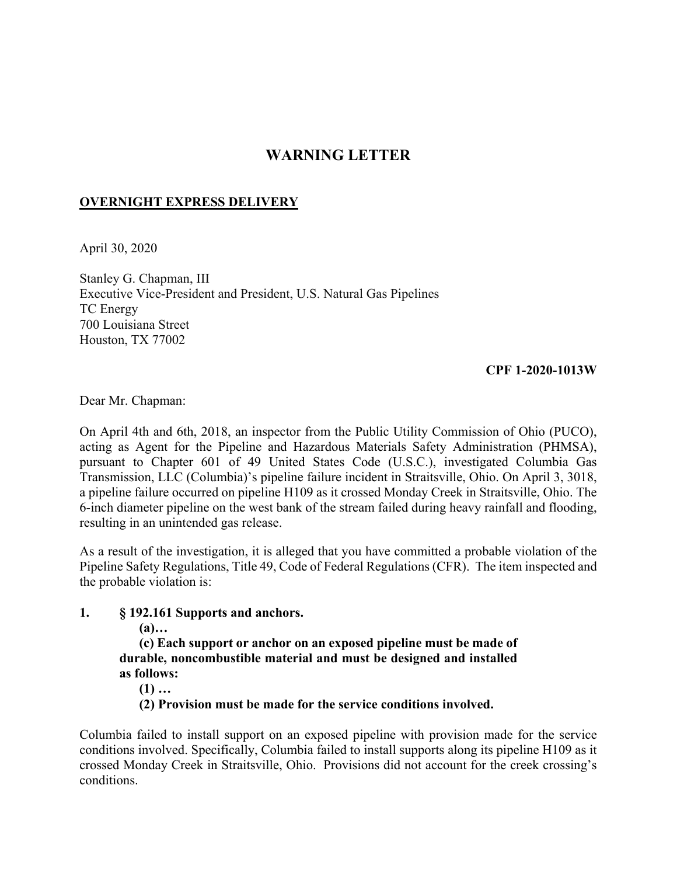## **WARNING LETTER**

## **OVERNIGHT EXPRESS DELIVERY**

April 30, 2020

Stanley G. Chapman, III Executive Vice-President and President, U.S. Natural Gas Pipelines TC Energy 700 Louisiana Street Houston, TX 77002

## **CPF 1-2020-1013W**

Dear Mr. Chapman:

On April 4th and 6th, 2018, an inspector from the Public Utility Commission of Ohio (PUCO), acting as Agent for the Pipeline and Hazardous Materials Safety Administration (PHMSA), pursuant to Chapter 601 of 49 United States Code (U.S.C.), investigated Columbia Gas Transmission, LLC (Columbia)'s pipeline failure incident in Straitsville, Ohio. On April 3, 3018, a pipeline failure occurred on pipeline H109 as it crossed Monday Creek in Straitsville, Ohio. The 6-inch diameter pipeline on the west bank of the stream failed during heavy rainfall and flooding, resulting in an unintended gas release.

As a result of the investigation, it is alleged that you have committed a probable violation of the Pipeline Safety Regulations, Title 49, Code of Federal Regulations (CFR). The item inspected and the probable violation is:

## **1. § 192.161 Supports and anchors.**

**(a)…** 

**(c) Each support or anchor on an exposed pipeline must be made of durable, noncombustible material and must be designed and installed as follows:** 

- **(1) …**
- **(2) Provision must be made for the service conditions involved.**

Columbia failed to install support on an exposed pipeline with provision made for the service conditions involved. Specifically, Columbia failed to install supports along its pipeline H109 as it crossed Monday Creek in Straitsville, Ohio. Provisions did not account for the creek crossing's conditions.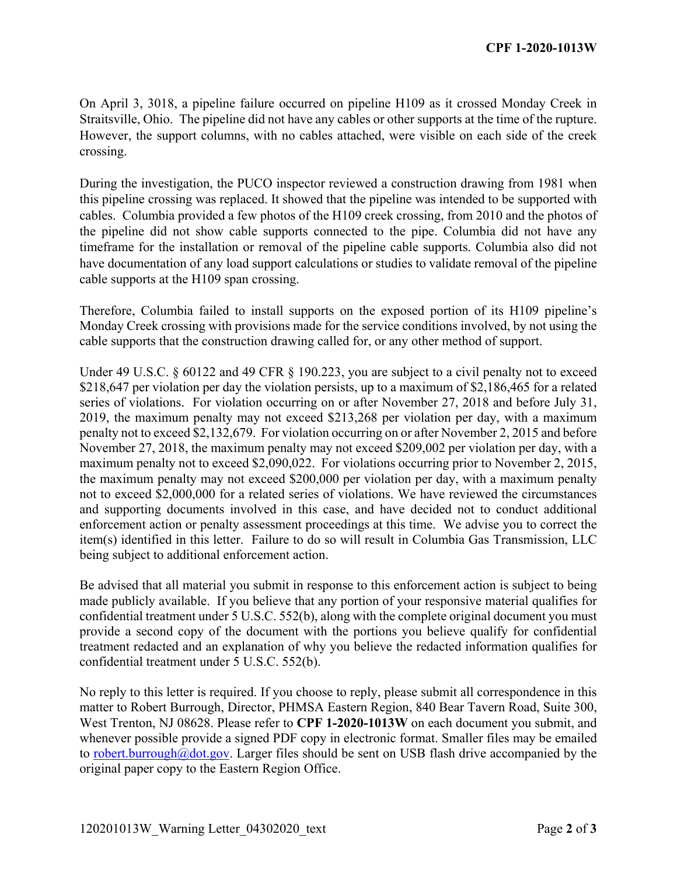On April 3, 3018, a pipeline failure occurred on pipeline H109 as it crossed Monday Creek in Straitsville, Ohio. The pipeline did not have any cables or other supports at the time of the rupture. However, the support columns, with no cables attached, were visible on each side of the creek crossing.

During the investigation, the PUCO inspector reviewed a construction drawing from 1981 when this pipeline crossing was replaced. It showed that the pipeline was intended to be supported with cables. Columbia provided a few photos of the H109 creek crossing, from 2010 and the photos of the pipeline did not show cable supports connected to the pipe. Columbia did not have any timeframe for the installation or removal of the pipeline cable supports. Columbia also did not have documentation of any load support calculations or studies to validate removal of the pipeline cable supports at the H109 span crossing.

Therefore, Columbia failed to install supports on the exposed portion of its H109 pipeline's Monday Creek crossing with provisions made for the service conditions involved, by not using the cable supports that the construction drawing called for, or any other method of support.

Under 49 U.S.C. § 60122 and 49 CFR § 190.223, you are subject to a civil penalty not to exceed \$218,647 per violation per day the violation persists, up to a maximum of \$2,186,465 for a related series of violations. For violation occurring on or after November 27, 2018 and before July 31, 2019, the maximum penalty may not exceed \$213,268 per violation per day, with a maximum penalty not to exceed \$2,132,679. For violation occurring on or after November 2, 2015 and before November 27, 2018, the maximum penalty may not exceed \$209,002 per violation per day, with a maximum penalty not to exceed \$2,090,022. For violations occurring prior to November 2, 2015, the maximum penalty may not exceed \$200,000 per violation per day, with a maximum penalty not to exceed \$2,000,000 for a related series of violations. We have reviewed the circumstances and supporting documents involved in this case, and have decided not to conduct additional enforcement action or penalty assessment proceedings at this time. We advise you to correct the item(s) identified in this letter. Failure to do so will result in Columbia Gas Transmission, LLC being subject to additional enforcement action.

Be advised that all material you submit in response to this enforcement action is subject to being made publicly available. If you believe that any portion of your responsive material qualifies for confidential treatment under 5 U.S.C. 552(b), along with the complete original document you must provide a second copy of the document with the portions you believe qualify for confidential treatment redacted and an explanation of why you believe the redacted information qualifies for confidential treatment under 5 U.S.C. 552(b).

No reply to this letter is required. If you choose to reply, please submit all correspondence in this matter to Robert Burrough, Director, PHMSA Eastern Region, 840 Bear Tavern Road, Suite 300, West Trenton, NJ 08628. Please refer to **CPF 1-2020-1013W** on each document you submit, and whenever possible provide a signed PDF copy in electronic format. Smaller files may be emailed to [robert.burrough@dot.gov.](mailto:robert.burrough@dot.gov) Larger files should be sent on USB flash drive accompanied by the original paper copy to the Eastern Region Office.